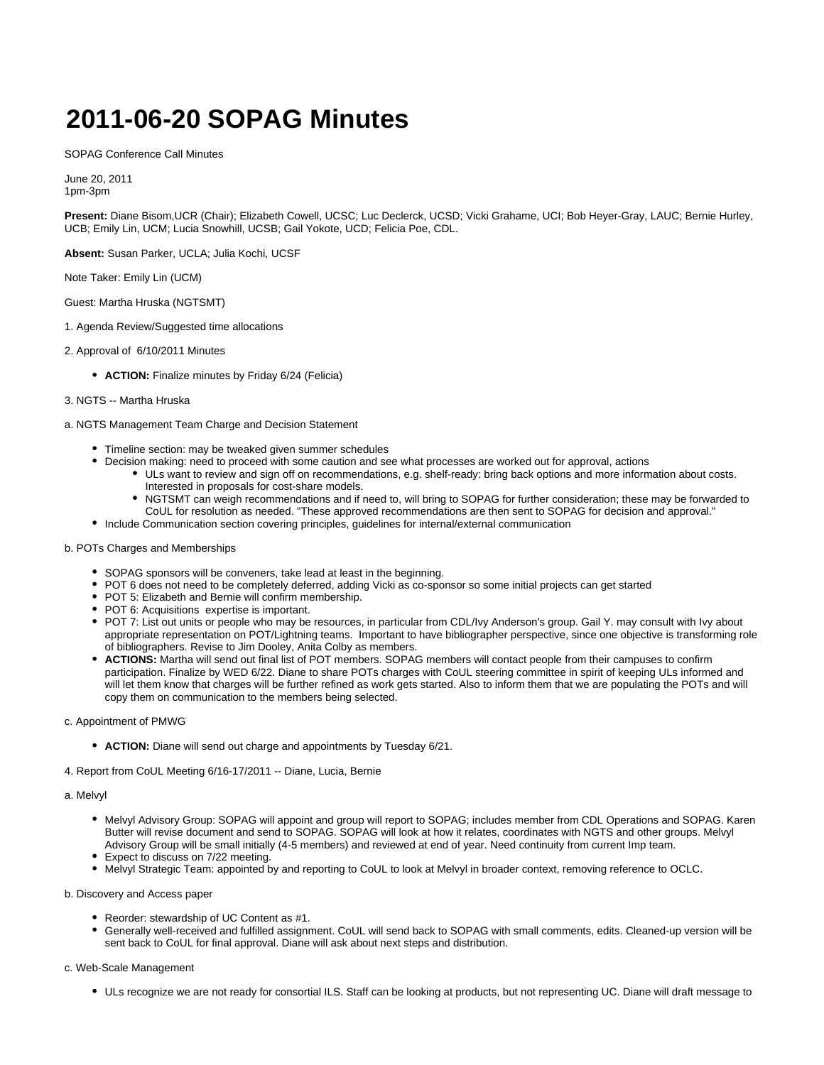# **2011-06-20 SOPAG Minutes**

SOPAG Conference Call Minutes

June 20, 2011 1pm-3pm

**Present:** Diane Bisom,UCR (Chair); Elizabeth Cowell, UCSC; Luc Declerck, UCSD; Vicki Grahame, UCI; Bob Heyer-Gray, LAUC; Bernie Hurley, UCB; Emily Lin, UCM; Lucia Snowhill, UCSB; Gail Yokote, UCD; Felicia Poe, CDL.

**Absent:** Susan Parker, UCLA; Julia Kochi, UCSF

Note Taker: Emily Lin (UCM)

Guest: Martha Hruska (NGTSMT)

- 1. Agenda Review/Suggested time allocations
- 2. Approval of 6/10/2011 Minutes
	- **ACTION:** Finalize minutes by Friday 6/24 (Felicia)

#### 3. NGTS -- Martha Hruska

a. NGTS Management Team Charge and Decision Statement

- Timeline section: may be tweaked given summer schedules
- Decision making: need to proceed with some caution and see what processes are worked out for approval, actions
	- ULs want to review and sign off on recommendations, e.g. shelf-ready: bring back options and more information about costs. Interested in proposals for cost-share models.
	- NGTSMT can weigh recommendations and if need to, will bring to SOPAG for further consideration; these may be forwarded to CoUL for resolution as needed. "These approved recommendations are then sent to SOPAG for decision and approval."
- Include Communication section covering principles, guidelines for internal/external communication

## b. POTs Charges and Memberships

- SOPAG sponsors will be conveners, take lead at least in the beginning.
- POT 6 does not need to be completely deferred, adding Vicki as co-sponsor so some initial projects can get started
- POT 5: Elizabeth and Bernie will confirm membership.
- POT 6: Acquisitions expertise is important.
- POT 7: List out units or people who may be resources, in particular from CDL/Ivy Anderson's group. Gail Y. may consult with Ivy about appropriate representation on POT/Lightning teams. Important to have bibliographer perspective, since one objective is transforming role of bibliographers. Revise to Jim Dooley, Anita Colby as members.
- **ACTIONS:** Martha will send out final list of POT members. SOPAG members will contact people from their campuses to confirm participation. Finalize by WED 6/22. Diane to share POTs charges with CoUL steering committee in spirit of keeping ULs informed and will let them know that charges will be further refined as work gets started. Also to inform them that we are populating the POTs and will copy them on communication to the members being selected.

#### c. Appointment of PMWG

- **ACTION:** Diane will send out charge and appointments by Tuesday 6/21.
- 4. Report from CoUL Meeting 6/16-17/2011 -- Diane, Lucia, Bernie

#### a. Melvyl

- Melvyl Advisory Group: SOPAG will appoint and group will report to SOPAG; includes member from CDL Operations and SOPAG. Karen Butter will revise document and send to SOPAG. SOPAG will look at how it relates, coordinates with NGTS and other groups. Melvyl Advisory Group will be small initially (4-5 members) and reviewed at end of year. Need continuity from current Imp team.
- **Expect to discuss on 7/22 meeting.**
- Melvyl Strategic Team: appointed by and reporting to CoUL to look at Melvyl in broader context, removing reference to OCLC.

b. Discovery and Access paper

- Reorder: stewardship of UC Content as #1.
- Generally well-received and fulfilled assignment. CoUL will send back to SOPAG with small comments, edits. Cleaned-up version will be sent back to CoUL for final approval. Diane will ask about next steps and distribution.

### c. Web-Scale Management

ULs recognize we are not ready for consortial ILS. Staff can be looking at products, but not representing UC. Diane will draft message to